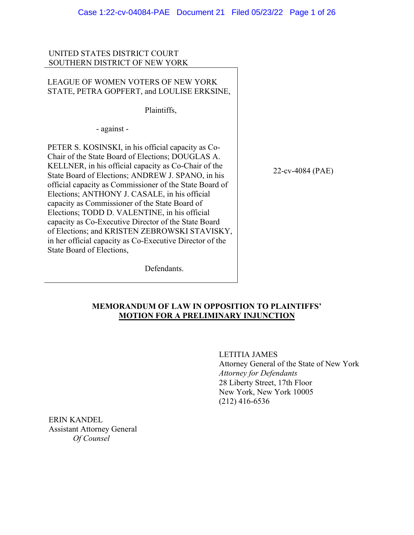### UNITED STATES DISTRICT COURT SOUTHERN DISTRICT OF NEW YORK

LEAGUE OF WOMEN VOTERS OF NEW YORK STATE, PETRA GOPFERT, and LOULISE ERKSINE,

Plaintiffs,

- against -

PETER S. KOSINSKI, in his official capacity as Co-Chair of the State Board of Elections; DOUGLAS A. KELLNER, in his official capacity as Co-Chair of the State Board of Elections; ANDREW J. SPANO, in his official capacity as Commissioner of the State Board of Elections; ANTHONY J. CASALE, in his official capacity as Commissioner of the State Board of Elections; TODD D. VALENTINE, in his official capacity as Co-Executive Director of the State Board of Elections; and KRISTEN ZEBROWSKI STAVISKY, in her official capacity as Co-Executive Director of the State Board of Elections,

22-cv-4084 (PAE)

# Defendants.

# **MEMORANDUM OF LAW IN OPPOSITION TO PLAINTIFFS' MOTION FOR A PRELIMINARY INJUNCTION**

LETITIA JAMES Attorney General of the State of New York *Attorney for Defendants* 28 Liberty Street, 17th Floor New York, New York 10005 (212) 416-6536

ERIN KANDEL Assistant Attorney General *Of Counsel*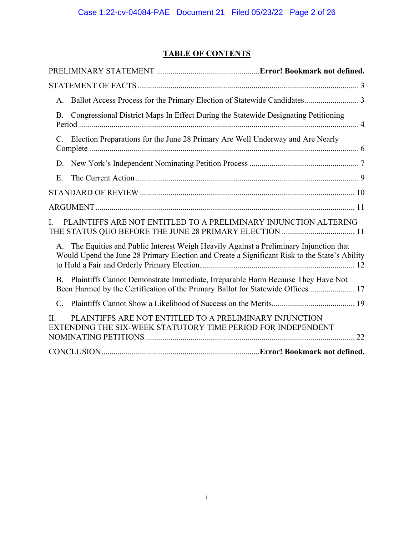# **TABLE OF CONTENTS**

| B. Congressional District Maps In Effect During the Statewide Designating Petitioning                                                                                                       |
|---------------------------------------------------------------------------------------------------------------------------------------------------------------------------------------------|
| C. Election Preparations for the June 28 Primary Are Well Underway and Are Nearly                                                                                                           |
|                                                                                                                                                                                             |
| E.                                                                                                                                                                                          |
|                                                                                                                                                                                             |
|                                                                                                                                                                                             |
| PLAINTIFFS ARE NOT ENTITLED TO A PRELIMINARY INJUNCTION ALTERING<br>I.<br>THE STATUS QUO BEFORE THE JUNE 28 PRIMARY ELECTION  11                                                            |
| The Equities and Public Interest Weigh Heavily Against a Preliminary Injunction that<br>А.<br>Would Upend the June 28 Primary Election and Create a Significant Risk to the State's Ability |
| B. Plaintiffs Cannot Demonstrate Immediate, Irreparable Harm Because They Have Not<br>Been Harmed by the Certification of the Primary Ballot for Statewide Offices 17                       |
| $C_{\cdot}$                                                                                                                                                                                 |
| PLAINTIFFS ARE NOT ENTITLED TO A PRELIMINARY INJUNCTION<br>$\Pi$ .<br>EXTENDING THE SIX-WEEK STATUTORY TIME PERIOD FOR INDEPENDENT                                                          |
|                                                                                                                                                                                             |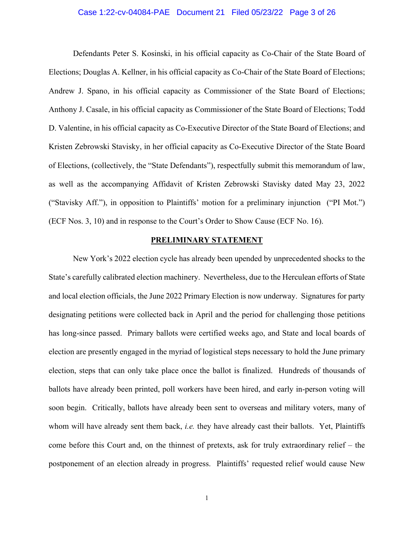#### Case 1:22-cv-04084-PAE Document 21 Filed 05/23/22 Page 3 of 26

Defendants Peter S. Kosinski, in his official capacity as Co-Chair of the State Board of Elections; Douglas A. Kellner, in his official capacity as Co-Chair of the State Board of Elections; Andrew J. Spano, in his official capacity as Commissioner of the State Board of Elections; Anthony J. Casale, in his official capacity as Commissioner of the State Board of Elections; Todd D. Valentine, in his official capacity as Co-Executive Director of the State Board of Elections; and Kristen Zebrowski Stavisky, in her official capacity as Co-Executive Director of the State Board of Elections, (collectively, the "State Defendants"), respectfully submit this memorandum of law, as well as the accompanying Affidavit of Kristen Zebrowski Stavisky dated May 23, 2022 ("Stavisky Aff."), in opposition to Plaintiffs' motion for a preliminary injunction ("PI Mot.") (ECF Nos. 3, 10) and in response to the Court's Order to Show Cause (ECF No. 16).

#### **PRELIMINARY STATEMENT**

New York's 2022 election cycle has already been upended by unprecedented shocks to the State's carefully calibrated election machinery. Nevertheless, due to the Herculean efforts of State and local election officials, the June 2022 Primary Election is now underway. Signatures for party designating petitions were collected back in April and the period for challenging those petitions has long-since passed. Primary ballots were certified weeks ago, and State and local boards of election are presently engaged in the myriad of logistical steps necessary to hold the June primary election, steps that can only take place once the ballot is finalized. Hundreds of thousands of ballots have already been printed, poll workers have been hired, and early in-person voting will soon begin. Critically, ballots have already been sent to overseas and military voters, many of whom will have already sent them back, *i.e.* they have already cast their ballots. Yet, Plaintiffs come before this Court and, on the thinnest of pretexts, ask for truly extraordinary relief – the postponement of an election already in progress. Plaintiffs' requested relief would cause New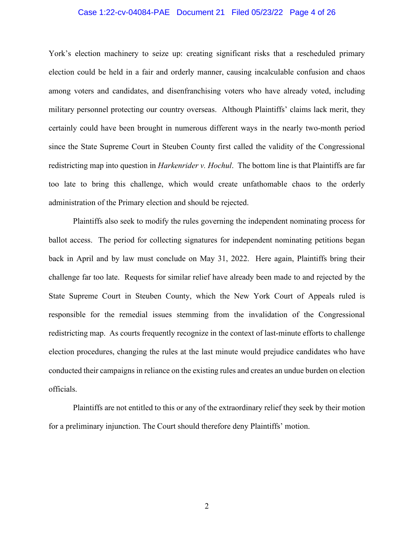#### Case 1:22-cv-04084-PAE Document 21 Filed 05/23/22 Page 4 of 26

York's election machinery to seize up: creating significant risks that a rescheduled primary election could be held in a fair and orderly manner, causing incalculable confusion and chaos among voters and candidates, and disenfranchising voters who have already voted, including military personnel protecting our country overseas. Although Plaintiffs' claims lack merit, they certainly could have been brought in numerous different ways in the nearly two-month period since the State Supreme Court in Steuben County first called the validity of the Congressional redistricting map into question in *Harkenrider v. Hochul*. The bottom line is that Plaintiffs are far too late to bring this challenge, which would create unfathomable chaos to the orderly administration of the Primary election and should be rejected.

Plaintiffs also seek to modify the rules governing the independent nominating process for ballot access. The period for collecting signatures for independent nominating petitions began back in April and by law must conclude on May 31, 2022. Here again, Plaintiffs bring their challenge far too late. Requests for similar relief have already been made to and rejected by the State Supreme Court in Steuben County, which the New York Court of Appeals ruled is responsible for the remedial issues stemming from the invalidation of the Congressional redistricting map. As courts frequently recognize in the context of last-minute efforts to challenge election procedures, changing the rules at the last minute would prejudice candidates who have conducted their campaigns in reliance on the existing rules and creates an undue burden on election officials.

Plaintiffs are not entitled to this or any of the extraordinary relief they seek by their motion for a preliminary injunction. The Court should therefore deny Plaintiffs' motion.

2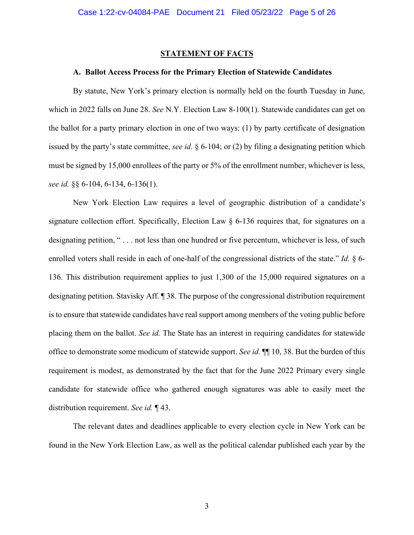#### **STATEMENT OF FACTS**

#### **A. Ballot Access Process for the Primary Election of Statewide Candidates**

By statute, New York's primary election is normally held on the fourth Tuesday in June, which in 2022 falls on June 28. *See* N.Y. Election Law 8-100(1). Statewide candidates can get on the ballot for a party primary election in one of two ways: (1) by party certificate of designation issued by the party's state committee, *see id.* § 6-104; or (2) by filing a designating petition which must be signed by 15,000 enrollees of the party or 5% of the enrollment number, whichever is less, *see id.* §§ 6-104, 6-134, 6-136(1).

New York Election Law requires a level of geographic distribution of a candidate's signature collection effort. Specifically, Election Law  $\S$  6-136 requires that, for signatures on a designating petition, "... not less than one hundred or five percentum, whichever is less, of such enrolled voters shall reside in each of one-half of the congressional districts of the state." *Id.* § 6- 136. This distribution requirement applies to just 1,300 of the 15,000 required signatures on a designating petition. Stavisky Aff. ¶ 38. The purpose of the congressional distribution requirement is to ensure that statewide candidates have real support among members of the voting public before placing them on the ballot. *See id.* The State has an interest in requiring candidates for statewide office to demonstrate some modicum of statewide support. *See id.* ¶¶ 10, 38. But the burden of this requirement is modest, as demonstrated by the fact that for the June 2022 Primary every single candidate for statewide office who gathered enough signatures was able to easily meet the distribution requirement. *See id.* ¶ 43.

The relevant dates and deadlines applicable to every election cycle in New York can be found in the New York Election Law, as well as the political calendar published each year by the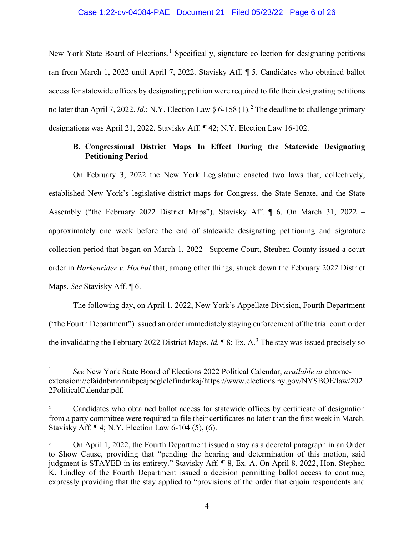#### Case 1:22-cv-04084-PAE Document 21 Filed 05/23/22 Page 6 of 26

New York State Board of Elections.<sup>[1](#page-5-0)</sup> Specifically, signature collection for designating petitions ran from March 1, 2022 until April 7, 2022. Stavisky Aff. ¶ 5. Candidates who obtained ballot access for statewide offices by designating petition were required to file their designating petitions no later than April 7, 2022. *Id.*; N.Y. Election Law § 6-158 (1). [2](#page-5-1) The deadline to challenge primary designations was April 21, 2022. Stavisky Aff. ¶ 42; N.Y. Election Law 16-102.

# **B. Congressional District Maps In Effect During the Statewide Designating Petitioning Period**

On February 3, 2022 the New York Legislature enacted two laws that, collectively, established New York's legislative-district maps for Congress, the State Senate, and the State Assembly ("the February 2022 District Maps"). Stavisky Aff. ¶ 6. On March 31, 2022 – approximately one week before the end of statewide designating petitioning and signature collection period that began on March 1, 2022 –Supreme Court, Steuben County issued a court order in *Harkenrider v. Hochul* that, among other things, struck down the February 2022 District Maps. *See* Stavisky Aff. ¶ 6.

The following day, on April 1, 2022, New York's Appellate Division, Fourth Department ("the Fourth Department") issued an order immediately staying enforcement of the trial court order the invalidating the February 2022 District Maps. *Id.* **18**; Ex. A.<sup>[3](#page-5-2)</sup> The stay was issued precisely so

<span id="page-5-0"></span><sup>1</sup> *See* New York State Board of Elections 2022 Political Calendar, *available at* chromeextension://efaidnbmnnnibpcajpcglclefindmkaj/https://www.elections.ny.gov/NYSBOE/law/202 2PoliticalCalendar.pdf.

<span id="page-5-1"></span><sup>&</sup>lt;sup>2</sup> Candidates who obtained ballot access for statewide offices by certificate of designation from a party committee were required to file their certificates no later than the first week in March. Stavisky Aff. ¶ 4; N.Y. Election Law 6-104 (5), (6).

<span id="page-5-2"></span><sup>&</sup>lt;sup>3</sup> On April 1, 2022, the Fourth Department issued a stay as a decretal paragraph in an Order to Show Cause, providing that "pending the hearing and determination of this motion, said judgment is STAYED in its entirety." Stavisky Aff. ¶ 8, Ex. A. On April 8, 2022, Hon. Stephen K. Lindley of the Fourth Department issued a decision permitting ballot access to continue, expressly providing that the stay applied to "provisions of the order that enjoin respondents and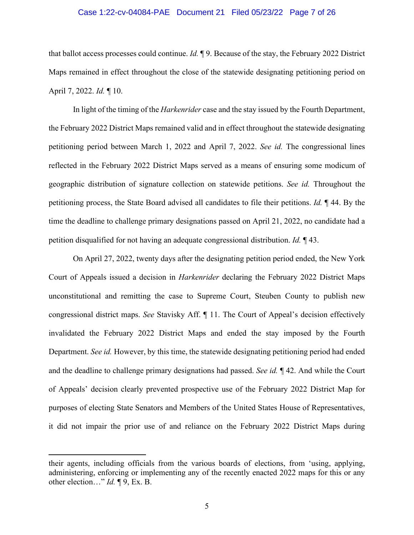#### Case 1:22-cv-04084-PAE Document 21 Filed 05/23/22 Page 7 of 26

that ballot access processes could continue. *Id.* ¶ 9. Because of the stay, the February 2022 District Maps remained in effect throughout the close of the statewide designating petitioning period on April 7, 2022. *Id.* ¶ 10.

In light of the timing of the *Harkenrider* case and the stay issued by the Fourth Department, the February 2022 District Maps remained valid and in effect throughout the statewide designating petitioning period between March 1, 2022 and April 7, 2022. *See id.* The congressional lines reflected in the February 2022 District Maps served as a means of ensuring some modicum of geographic distribution of signature collection on statewide petitions. *See id.* Throughout the petitioning process, the State Board advised all candidates to file their petitions. *Id.* ¶ 44. By the time the deadline to challenge primary designations passed on April 21, 2022, no candidate had a petition disqualified for not having an adequate congressional distribution. *Id.* ¶ 43.

On April 27, 2022, twenty days after the designating petition period ended, the New York Court of Appeals issued a decision in *Harkenrider* declaring the February 2022 District Maps unconstitutional and remitting the case to Supreme Court, Steuben County to publish new congressional district maps. *See* Stavisky Aff. ¶ 11. The Court of Appeal's decision effectively invalidated the February 2022 District Maps and ended the stay imposed by the Fourth Department. *See id.* However, by this time, the statewide designating petitioning period had ended and the deadline to challenge primary designations had passed. *See id.* ¶ 42. And while the Court of Appeals' decision clearly prevented prospective use of the February 2022 District Map for purposes of electing State Senators and Members of the United States House of Representatives, it did not impair the prior use of and reliance on the February 2022 District Maps during

their agents, including officials from the various boards of elections, from 'using, applying, administering, enforcing or implementing any of the recently enacted 2022 maps for this or any other election…" *Id.* ¶ 9, Ex. B.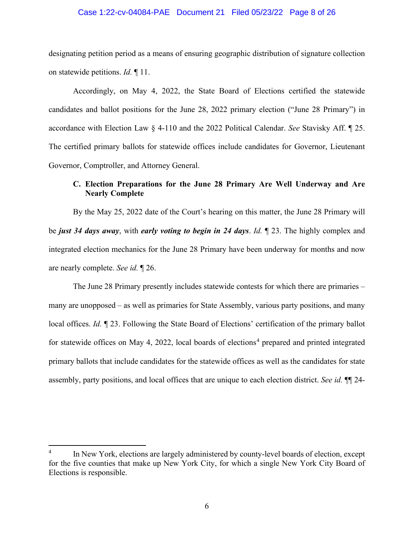#### Case 1:22-cv-04084-PAE Document 21 Filed 05/23/22 Page 8 of 26

designating petition period as a means of ensuring geographic distribution of signature collection on statewide petitions. *Id.* ¶ 11.

Accordingly, on May 4, 2022, the State Board of Elections certified the statewide candidates and ballot positions for the June 28, 2022 primary election ("June 28 Primary") in accordance with Election Law § 4-110 and the 2022 Political Calendar. *See* Stavisky Aff. ¶ 25. The certified primary ballots for statewide offices include candidates for Governor, Lieutenant Governor, Comptroller, and Attorney General.

# **C. Election Preparations for the June 28 Primary Are Well Underway and Are Nearly Complete**

By the May 25, 2022 date of the Court's hearing on this matter, the June 28 Primary will be *just 34 days away*, with *early voting to begin in 24 days*. *Id.* ¶ 23. The highly complex and integrated election mechanics for the June 28 Primary have been underway for months and now are nearly complete. *See id.* ¶ 26.

The June 28 Primary presently includes statewide contests for which there are primaries – many are unopposed – as well as primaries for State Assembly, various party positions, and many local offices. *Id.* ¶ 23. Following the State Board of Elections' certification of the primary ballot for statewide offices on May [4](#page-7-0), 2022, local boards of elections<sup>4</sup> prepared and printed integrated primary ballots that include candidates for the statewide offices as well as the candidates for state assembly, party positions, and local offices that are unique to each election district. *See id.* ¶¶ 24-

<span id="page-7-0"></span>In New York, elections are largely administered by county-level boards of election, except for the five counties that make up New York City, for which a single New York City Board of Elections is responsible.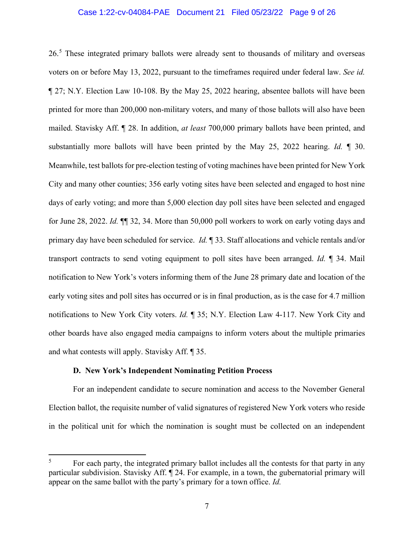#### Case 1:22-cv-04084-PAE Document 21 Filed 05/23/22 Page 9 of 26

26.<sup>[5](#page-8-0)</sup> These integrated primary ballots were already sent to thousands of military and overseas voters on or before May 13, 2022, pursuant to the timeframes required under federal law. *See id.*  ¶ 27; N.Y. Election Law 10-108. By the May 25, 2022 hearing, absentee ballots will have been printed for more than 200,000 non-military voters, and many of those ballots will also have been mailed. Stavisky Aff. ¶ 28. In addition, *at least* 700,000 primary ballots have been printed, and substantially more ballots will have been printed by the May 25, 2022 hearing. *Id.* ¶ 30. Meanwhile, test ballots for pre-election testing of voting machines have been printed for New York City and many other counties; 356 early voting sites have been selected and engaged to host nine days of early voting; and more than 5,000 election day poll sites have been selected and engaged for June 28, 2022. *Id.* ¶¶ 32, 34. More than 50,000 poll workers to work on early voting days and primary day have been scheduled for service. *Id.* ¶ 33. Staff allocations and vehicle rentals and/or transport contracts to send voting equipment to poll sites have been arranged. *Id.* ¶ 34. Mail notification to New York's voters informing them of the June 28 primary date and location of the early voting sites and poll sites has occurred or is in final production, as is the case for 4.7 million notifications to New York City voters. *Id.* ¶ 35; N.Y. Election Law 4-117. New York City and other boards have also engaged media campaigns to inform voters about the multiple primaries and what contests will apply. Stavisky Aff. ¶ 35.

#### **D. New York's Independent Nominating Petition Process**

For an independent candidate to secure nomination and access to the November General Election ballot, the requisite number of valid signatures of registered New York voters who reside in the political unit for which the nomination is sought must be collected on an independent

<span id="page-8-0"></span><sup>&</sup>lt;sup>5</sup> For each party, the integrated primary ballot includes all the contests for that party in any particular subdivision. Stavisky Aff. ¶ 24. For example, in a town, the gubernatorial primary will appear on the same ballot with the party's primary for a town office. *Id.*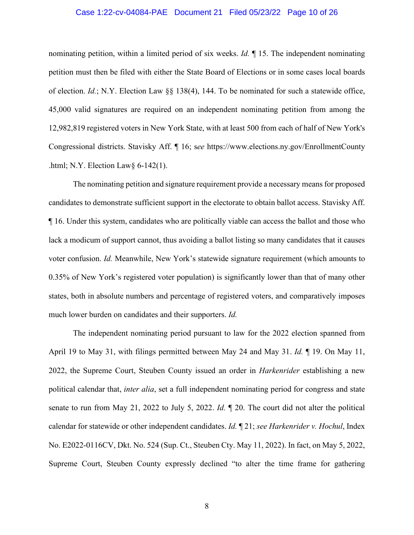#### Case 1:22-cv-04084-PAE Document 21 Filed 05/23/22 Page 10 of 26

nominating petition, within a limited period of six weeks. *Id.* ¶ 15. The independent nominating petition must then be filed with either the State Board of Elections or in some cases local boards of election. *Id.*; N.Y. Election Law §§ 138(4), 144. To be nominated for such a statewide office, 45,000 valid signatures are required on an independent nominating petition from among the 12,982,819 registered voters in New York State, with at least 500 from each of half of New York's Congressional districts. Stavisky Aff. ¶ 16; s*ee* https://www.elections.ny.gov/EnrollmentCounty .html; N.Y. Election Law§ 6-142(1).

The nominating petition and signature requirement provide a necessary means for proposed candidates to demonstrate sufficient support in the electorate to obtain ballot access. Stavisky Aff. ¶ 16. Under this system, candidates who are politically viable can access the ballot and those who lack a modicum of support cannot, thus avoiding a ballot listing so many candidates that it causes voter confusion. *Id.* Meanwhile, New York's statewide signature requirement (which amounts to 0.35% of New York's registered voter population) is significantly lower than that of many other states, both in absolute numbers and percentage of registered voters, and comparatively imposes much lower burden on candidates and their supporters. *Id.*

The independent nominating period pursuant to law for the 2022 election spanned from April 19 to May 31, with filings permitted between May 24 and May 31. *Id.* ¶ 19. On May 11, 2022, the Supreme Court, Steuben County issued an order in *Harkenrider* establishing a new political calendar that, *inter alia*, set a full independent nominating period for congress and state senate to run from May 21, 2022 to July 5, 2022. *Id.* ¶ 20. The court did not alter the political calendar for statewide or other independent candidates. *Id.* ¶ 21; *see Harkenrider v. Hochul*, Index No. E2022-0116CV, Dkt. No. 524 (Sup. Ct., Steuben Cty. May 11, 2022). In fact, on May 5, 2022, Supreme Court, Steuben County expressly declined "to alter the time frame for gathering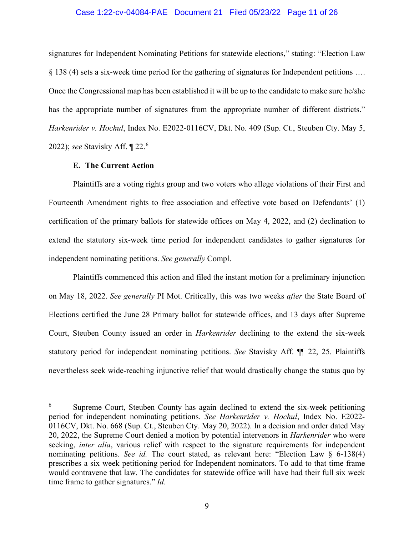#### Case 1:22-cv-04084-PAE Document 21 Filed 05/23/22 Page 11 of 26

signatures for Independent Nominating Petitions for statewide elections," stating: "Election Law § 138 (4) sets a six-week time period for the gathering of signatures for Independent petitions …. Once the Congressional map has been established it will be up to the candidate to make sure he/she has the appropriate number of signatures from the appropriate number of different districts." *Harkenrider v. Hochul*, Index No. E2022-0116CV, Dkt. No. 409 (Sup. Ct., Steuben Cty. May 5, 2022); *see* Stavisky Aff. ¶ 22.[6](#page-10-0)

### **E. The Current Action**

Plaintiffs are a voting rights group and two voters who allege violations of their First and Fourteenth Amendment rights to free association and effective vote based on Defendants' (1) certification of the primary ballots for statewide offices on May 4, 2022, and (2) declination to extend the statutory six-week time period for independent candidates to gather signatures for independent nominating petitions. *See generally* Compl.

Plaintiffs commenced this action and filed the instant motion for a preliminary injunction on May 18, 2022. *See generally* PI Mot. Critically, this was two weeks *after* the State Board of Elections certified the June 28 Primary ballot for statewide offices, and 13 days after Supreme Court, Steuben County issued an order in *Harkenrider* declining to the extend the six-week statutory period for independent nominating petitions. *See* Stavisky Aff. ¶¶ 22, 25. Plaintiffs nevertheless seek wide-reaching injunctive relief that would drastically change the status quo by

<span id="page-10-0"></span><sup>&</sup>lt;sup>6</sup> Supreme Court, Steuben County has again declined to extend the six-week petitioning period for independent nominating petitions. *See Harkenrider v. Hochul*, Index No. E2022- 0116CV, Dkt. No. 668 (Sup. Ct., Steuben Cty. May 20, 2022). In a decision and order dated May 20, 2022, the Supreme Court denied a motion by potential intervenors in *Harkenrider* who were seeking, *inter alia*, various relief with respect to the signature requirements for independent nominating petitions. *See id.* The court stated, as relevant here: "Election Law § 6-138(4) prescribes a six week petitioning period for Independent nominators. To add to that time frame would contravene that law. The candidates for statewide office will have had their full six week time frame to gather signatures." *Id.*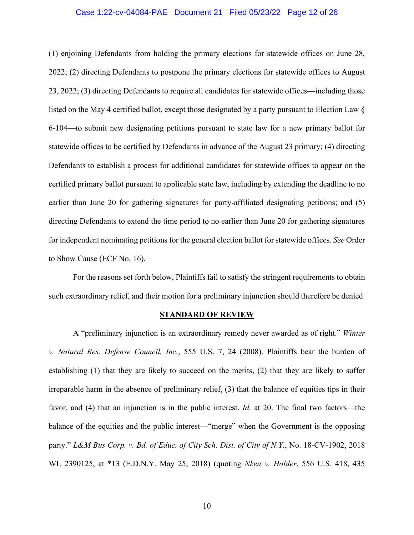#### Case 1:22-cv-04084-PAE Document 21 Filed 05/23/22 Page 12 of 26

(1) enjoining Defendants from holding the primary elections for statewide offices on June 28, 2022; (2) directing Defendants to postpone the primary elections for statewide offices to August 23, 2022; (3) directing Defendants to require all candidates for statewide offices—including those listed on the May 4 certified ballot, except those designated by a party pursuant to Election Law § 6-104—to submit new designating petitions pursuant to state law for a new primary ballot for statewide offices to be certified by Defendants in advance of the August 23 primary; (4) directing Defendants to establish a process for additional candidates for statewide offices to appear on the certified primary ballot pursuant to applicable state law, including by extending the deadline to no earlier than June 20 for gathering signatures for party-affiliated designating petitions; and (5) directing Defendants to extend the time period to no earlier than June 20 for gathering signatures for independent nominating petitions for the general election ballot for statewide offices. *See* Order to Show Cause (ECF No. 16).

For the reasons set forth below, Plaintiffs fail to satisfy the stringent requirements to obtain such extraordinary relief, and their motion for a preliminary injunction should therefore be denied.

#### **STANDARD OF REVIEW**

A "preliminary injunction is an extraordinary remedy never awarded as of right." *Winter v. Natural Res. Defense Council, Inc.*, 555 U.S. 7, 24 (2008). Plaintiffs bear the burden of establishing (1) that they are likely to succeed on the merits, (2) that they are likely to suffer irreparable harm in the absence of preliminary relief, (3) that the balance of equities tips in their favor, and (4) that an injunction is in the public interest. *Id.* at 20. The final two factors—the balance of the equities and the public interest—"merge" when the Government is the opposing party." *L&M Bus Corp. v. Bd. of Educ. of City Sch. Dist. of City of N.Y.*, No. 18-CV-1902, 2018 WL 2390125, at \*13 (E.D.N.Y. May 25, 2018) (quoting *Nken v. Holder*, 556 U.S. 418, 435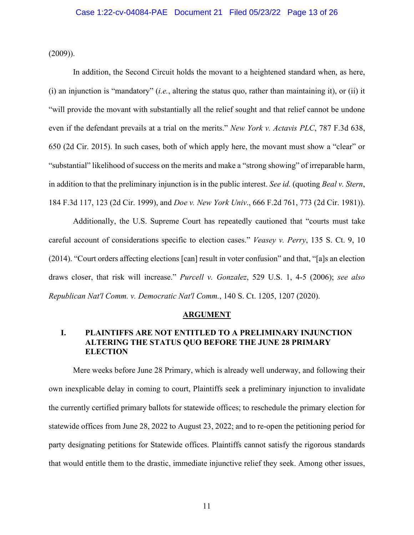(2009)).

In addition, the Second Circuit holds the movant to a heightened standard when, as here, (i) an injunction is "mandatory" (*i.e.*, altering the status quo, rather than maintaining it), or (ii) it "will provide the movant with substantially all the relief sought and that relief cannot be undone even if the defendant prevails at a trial on the merits." *New York v. Actavis PLC*, 787 F.3d 638, 650 (2d Cir. 2015). In such cases, both of which apply here, the movant must show a "clear" or "substantial" likelihood of success on the merits and make a "strong showing" of irreparable harm, in addition to that the preliminary injunction is in the public interest. *See id.* (quoting *Beal v. Stern*, 184 F.3d 117, 123 (2d Cir. 1999), and *Doe v. New York Univ*., 666 F.2d 761, 773 (2d Cir. 1981)).

Additionally, the U.S. Supreme Court has repeatedly cautioned that "courts must take careful account of considerations specific to election cases." *Veasey v. Perry*, 135 S. Ct. 9, 10 (2014). "Court orders affecting elections [can] result in voter confusion" and that, "[a]s an election draws closer, that risk will increase." *Purcell v. Gonzalez*, 529 U.S. 1, 4-5 (2006); *see also Republican Nat'l Comm. v. Democratic Nat'l Comm.*, 140 S. Ct. 1205, 1207 (2020).

#### **ARGUMENT**

## **I. PLAINTIFFS ARE NOT ENTITLED TO A PRELIMINARY INJUNCTION ALTERING THE STATUS QUO BEFORE THE JUNE 28 PRIMARY ELECTION**

Mere weeks before June 28 Primary, which is already well underway, and following their own inexplicable delay in coming to court, Plaintiffs seek a preliminary injunction to invalidate the currently certified primary ballots for statewide offices; to reschedule the primary election for statewide offices from June 28, 2022 to August 23, 2022; and to re-open the petitioning period for party designating petitions for Statewide offices. Plaintiffs cannot satisfy the rigorous standards that would entitle them to the drastic, immediate injunctive relief they seek. Among other issues,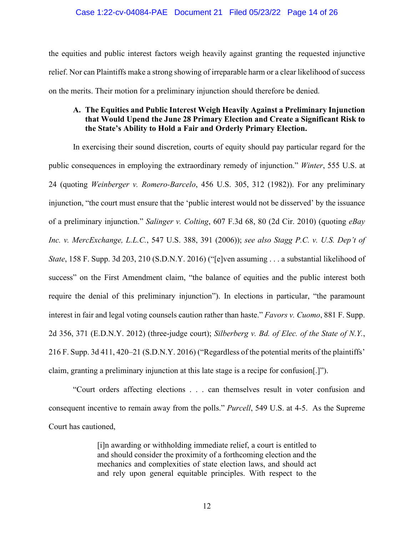the equities and public interest factors weigh heavily against granting the requested injunctive relief. Nor can Plaintiffs make a strong showing of irreparable harm or a clear likelihood of success on the merits. Their motion for a preliminary injunction should therefore be denied.

# **A. The Equities and Public Interest Weigh Heavily Against a Preliminary Injunction that Would Upend the June 28 Primary Election and Create a Significant Risk to the State's Ability to Hold a Fair and Orderly Primary Election.**

In exercising their sound discretion, courts of equity should pay particular regard for the public consequences in employing the extraordinary remedy of injunction." *Winter*, 555 U.S. at 24 (quoting *Weinberger v. Romero-Barcelo*, 456 U.S. 305, 312 (1982)). For any preliminary injunction, "the court must ensure that the 'public interest would not be disserved' by the issuance of a preliminary injunction." *Salinger v. Colting*, 607 F.3d 68, 80 (2d Cir. 2010) (quoting *eBay Inc. v. MercExchange, L.L.C.*, 547 U.S. 388, 391 (2006)); *see also Stagg P.C. v. U.S. Dep't of State*, 158 F. Supp. 3d 203, 210 (S.D.N.Y. 2016) ("[e]ven assuming . . . a substantial likelihood of success" on the First Amendment claim, "the balance of equities and the public interest both require the denial of this preliminary injunction"). In elections in particular, "the paramount interest in fair and legal voting counsels caution rather than haste." *Favors v. Cuomo*, 881 F. Supp. 2d 356, 371 (E.D.N.Y. 2012) (three-judge court); *Silberberg v. Bd. of Elec. of the State of N.Y.*, 216 F. Supp. 3d 411, 420–21 (S.D.N.Y. 2016) ("Regardless of the potential merits of the plaintiffs' claim, granting a preliminary injunction at this late stage is a recipe for confusion[.]").

"Court orders affecting elections . . . can themselves result in voter confusion and consequent incentive to remain away from the polls." *Purcell*, 549 U.S. at 4-5. As the Supreme Court has cautioned,

> [i]n awarding or withholding immediate relief, a court is entitled to and should consider the proximity of a forthcoming election and the mechanics and complexities of state election laws, and should act and rely upon general equitable principles. With respect to the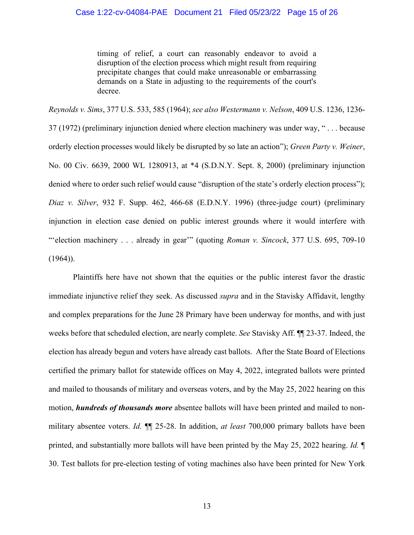timing of relief, a court can reasonably endeavor to avoid a disruption of the election process which might result from requiring precipitate changes that could make unreasonable or embarrassing demands on a State in adjusting to the requirements of the court's decree.

*Reynolds v. Sims*, 377 U.S. 533, 585 (1964); *see also Westermann v. Nelson*, 409 U.S. 1236, 1236- 37 (1972) (preliminary injunction denied where election machinery was under way, " . . . because orderly election processes would likely be disrupted by so late an action"); *Green Party v. Weiner*, No. 00 Civ. 6639, 2000 WL 1280913, at \*4 (S.D.N.Y. Sept. 8, 2000) (preliminary injunction denied where to order such relief would cause "disruption of the state's orderly election process"); *Diaz v. Silver*, 932 F. Supp. 462, 466-68 (E.D.N.Y. 1996) (three-judge court) (preliminary injunction in election case denied on public interest grounds where it would interfere with "'election machinery . . . already in gear'" (quoting *Roman v. Sincock*, 377 U.S. 695, 709-10  $(1964)$ ).

Plaintiffs here have not shown that the equities or the public interest favor the drastic immediate injunctive relief they seek. As discussed *supra* and in the Stavisky Affidavit, lengthy and complex preparations for the June 28 Primary have been underway for months, and with just weeks before that scheduled election, are nearly complete. *See* Stavisky Aff. ¶¶ 23-37. Indeed, the election has already begun and voters have already cast ballots. After the State Board of Elections certified the primary ballot for statewide offices on May 4, 2022, integrated ballots were printed and mailed to thousands of military and overseas voters, and by the May 25, 2022 hearing on this motion, *hundreds of thousands more* absentee ballots will have been printed and mailed to nonmilitary absentee voters. *Id.* ¶¶ 25-28. In addition, *at least* 700,000 primary ballots have been printed, and substantially more ballots will have been printed by the May 25, 2022 hearing. *Id.* ¶ 30. Test ballots for pre-election testing of voting machines also have been printed for New York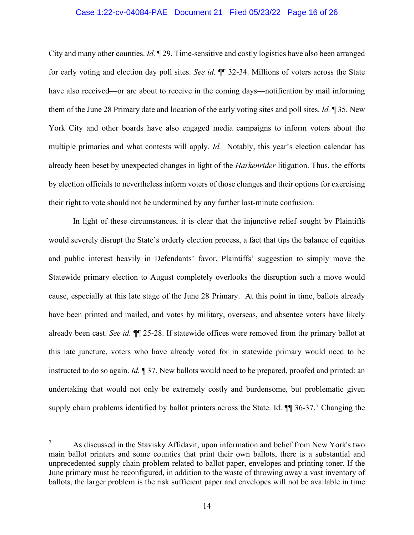#### Case 1:22-cv-04084-PAE Document 21 Filed 05/23/22 Page 16 of 26

City and many other counties. *Id.* ¶ 29. Time-sensitive and costly logistics have also been arranged for early voting and election day poll sites. *See id.* ¶¶ 32-34. Millions of voters across the State have also received—or are about to receive in the coming days—notification by mail informing them of the June 28 Primary date and location of the early voting sites and poll sites. *Id.* ¶ 35. New York City and other boards have also engaged media campaigns to inform voters about the multiple primaries and what contests will apply. *Id.* Notably, this year's election calendar has already been beset by unexpected changes in light of the *Harkenrider* litigation. Thus, the efforts by election officials to nevertheless inform voters of those changes and their options for exercising their right to vote should not be undermined by any further last-minute confusion.

In light of these circumstances, it is clear that the injunctive relief sought by Plaintiffs would severely disrupt the State's orderly election process, a fact that tips the balance of equities and public interest heavily in Defendants' favor. Plaintiffs' suggestion to simply move the Statewide primary election to August completely overlooks the disruption such a move would cause, especially at this late stage of the June 28 Primary. At this point in time, ballots already have been printed and mailed, and votes by military, overseas, and absentee voters have likely already been cast. *See id.* ¶¶ 25-28. If statewide offices were removed from the primary ballot at this late juncture, voters who have already voted for in statewide primary would need to be instructed to do so again. *Id.* ¶ 37. New ballots would need to be prepared, proofed and printed: an undertaking that would not only be extremely costly and burdensome, but problematic given supply chain problems identified by ballot printers across the State. Id.  $\P$  36-3[7](#page-15-0).<sup>7</sup> Changing the

<span id="page-15-0"></span><sup>7</sup> As discussed in the Stavisky Affidavit, upon information and belief from New York's two main ballot printers and some counties that print their own ballots, there is a substantial and unprecedented supply chain problem related to ballot paper, envelopes and printing toner. If the June primary must be reconfigured, in addition to the waste of throwing away a vast inventory of ballots, the larger problem is the risk sufficient paper and envelopes will not be available in time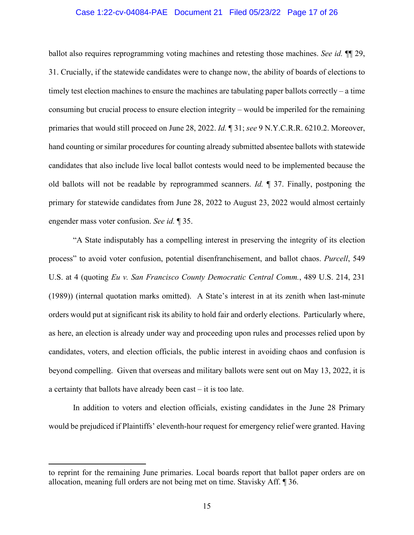#### Case 1:22-cv-04084-PAE Document 21 Filed 05/23/22 Page 17 of 26

ballot also requires reprogramming voting machines and retesting those machines. *See id.* ¶¶ 29, 31. Crucially, if the statewide candidates were to change now, the ability of boards of elections to timely test election machines to ensure the machines are tabulating paper ballots correctly – a time consuming but crucial process to ensure election integrity – would be imperiled for the remaining primaries that would still proceed on June 28, 2022. *Id.* ¶ 31; *see* 9 N.Y.C.R.R. 6210.2. Moreover, hand counting or similar procedures for counting already submitted absentee ballots with statewide candidates that also include live local ballot contests would need to be implemented because the old ballots will not be readable by reprogrammed scanners. *Id.* ¶ 37. Finally, postponing the primary for statewide candidates from June 28, 2022 to August 23, 2022 would almost certainly engender mass voter confusion. *See id.* ¶ 35.

"A State indisputably has a compelling interest in preserving the integrity of its election process" to avoid voter confusion, potential disenfranchisement, and ballot chaos. *Purcell*, 549 U.S. at 4 (quoting *Eu v. San Francisco County Democratic Central Comm.*, 489 U.S. 214, 231 (1989)) (internal quotation marks omitted). A State's interest in at its zenith when last-minute orders would put at significant risk its ability to hold fair and orderly elections. Particularly where, as here, an election is already under way and proceeding upon rules and processes relied upon by candidates, voters, and election officials, the public interest in avoiding chaos and confusion is beyond compelling. Given that overseas and military ballots were sent out on May 13, 2022, it is a certainty that ballots have already been cast – it is too late.

In addition to voters and election officials, existing candidates in the June 28 Primary would be prejudiced if Plaintiffs' eleventh-hour request for emergency relief were granted. Having

to reprint for the remaining June primaries. Local boards report that ballot paper orders are on allocation, meaning full orders are not being met on time. Stavisky Aff. ¶ 36.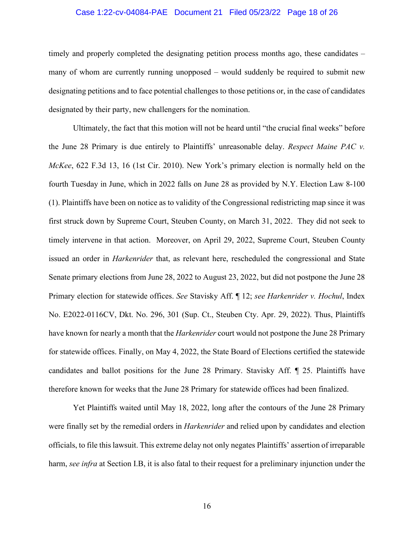#### Case 1:22-cv-04084-PAE Document 21 Filed 05/23/22 Page 18 of 26

timely and properly completed the designating petition process months ago, these candidates – many of whom are currently running unopposed – would suddenly be required to submit new designating petitions and to face potential challenges to those petitions or, in the case of candidates designated by their party, new challengers for the nomination.

Ultimately, the fact that this motion will not be heard until "the crucial final weeks" before the June 28 Primary is due entirely to Plaintiffs' unreasonable delay. *Respect Maine PAC v. McKee*, 622 F.3d 13, 16 (1st Cir. 2010). New York's primary election is normally held on the fourth Tuesday in June, which in 2022 falls on June 28 as provided by N.Y. Election Law 8-100 (1). Plaintiffs have been on notice as to validity of the Congressional redistricting map since it was first struck down by Supreme Court, Steuben County, on March 31, 2022. They did not seek to timely intervene in that action. Moreover, on April 29, 2022, Supreme Court, Steuben County issued an order in *Harkenrider* that, as relevant here, rescheduled the congressional and State Senate primary elections from June 28, 2022 to August 23, 2022, but did not postpone the June 28 Primary election for statewide offices. *See* Stavisky Aff. ¶ 12; *see Harkenrider v. Hochul*, Index No. E2022-0116CV, Dkt. No. 296, 301 (Sup. Ct., Steuben Cty. Apr. 29, 2022). Thus, Plaintiffs have known for nearly a month that the *Harkenrider* court would not postpone the June 28 Primary for statewide offices. Finally, on May 4, 2022, the State Board of Elections certified the statewide candidates and ballot positions for the June 28 Primary. Stavisky Aff. ¶ 25. Plaintiffs have therefore known for weeks that the June 28 Primary for statewide offices had been finalized.

Yet Plaintiffs waited until May 18, 2022, long after the contours of the June 28 Primary were finally set by the remedial orders in *Harkenrider* and relied upon by candidates and election officials, to file this lawsuit. This extreme delay not only negates Plaintiffs' assertion of irreparable harm, *see infra* at Section I.B, it is also fatal to their request for a preliminary injunction under the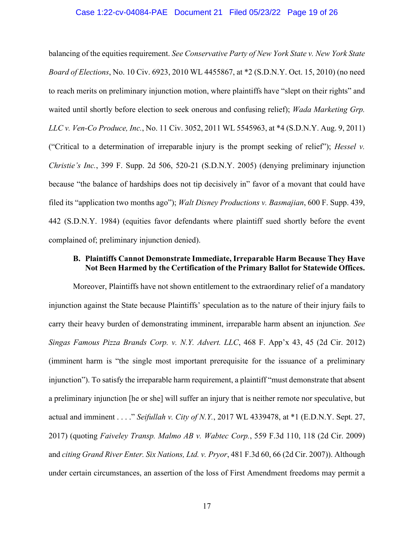### Case 1:22-cv-04084-PAE Document 21 Filed 05/23/22 Page 19 of 26

balancing of the equities requirement. *See Conservative Party of New York State v. New York State Board of Elections*, No. 10 Civ. 6923, 2010 WL 4455867, at \*2 (S.D.N.Y. Oct. 15, 2010) (no need to reach merits on preliminary injunction motion, where plaintiffs have "slept on their rights" and waited until shortly before election to seek onerous and confusing relief); *Wada Marketing Grp. LLC v. Ven-Co Produce, Inc.*, No. 11 Civ. 3052, 2011 WL 5545963, at \*4 (S.D.N.Y. Aug. 9, 2011) ("Critical to a determination of irreparable injury is the prompt seeking of relief"); *Hessel v. Christie's Inc.*, 399 F. Supp. 2d 506, 520-21 (S.D.N.Y. 2005) (denying preliminary injunction because "the balance of hardships does not tip decisively in" favor of a movant that could have filed its "application two months ago"); *Walt Disney Productions v. Basmajian*, 600 F. Supp. 439, 442 (S.D.N.Y. 1984) (equities favor defendants where plaintiff sued shortly before the event complained of; preliminary injunction denied).

### **B. Plaintiffs Cannot Demonstrate Immediate, Irreparable Harm Because They Have Not Been Harmed by the Certification of the Primary Ballot for Statewide Offices.**

Moreover, Plaintiffs have not shown entitlement to the extraordinary relief of a mandatory injunction against the State because Plaintiffs' speculation as to the nature of their injury fails to carry their heavy burden of demonstrating imminent, irreparable harm absent an injunction*. See Singas Famous Pizza Brands Corp. v. N.Y. Advert. LLC*, 468 F. App'x 43, 45 (2d Cir. 2012) (imminent harm is "the single most important prerequisite for the issuance of a preliminary injunction"). To satisfy the irreparable harm requirement, a plaintiff "must demonstrate that absent a preliminary injunction [he or she] will suffer an injury that is neither remote nor speculative, but actual and imminent . . . ." *Seifullah v. City of N.Y.*, 2017 WL 4339478, at \*1 (E.D.N.Y. Sept. 27, 2017) (quoting *Faiveley Transp. Malmo AB v. Wabtec Corp.*, 559 F.3d 110, 118 (2d Cir. 2009) and *citing Grand River Enter. Six Nations, Ltd. v. Pryor*, 481 F.3d 60, 66 (2d Cir. 2007)). Although under certain circumstances, an assertion of the loss of First Amendment freedoms may permit a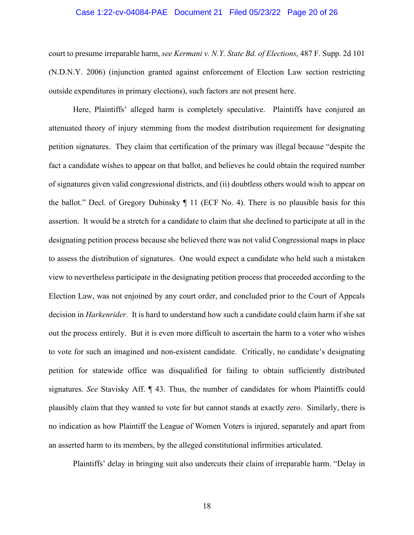#### Case 1:22-cv-04084-PAE Document 21 Filed 05/23/22 Page 20 of 26

court to presume irreparable harm, *see Kermani v. N.Y. State Bd. of Elections*, 487 F. Supp. 2d 101 (N.D.N.Y. 2006) (injunction granted against enforcement of Election Law section restricting outside expenditures in primary elections), such factors are not present here.

Here, Plaintiffs' alleged harm is completely speculative. Plaintiffs have conjured an attenuated theory of injury stemming from the modest distribution requirement for designating petition signatures. They claim that certification of the primary was illegal because "despite the fact a candidate wishes to appear on that ballot, and believes he could obtain the required number of signatures given valid congressional districts, and (ii) doubtless others would wish to appear on the ballot." Decl. of Gregory Dubinsky ¶ 11 (ECF No. 4). There is no plausible basis for this assertion. It would be a stretch for a candidate to claim that she declined to participate at all in the designating petition process because she believed there was not valid Congressional maps in place to assess the distribution of signatures. One would expect a candidate who held such a mistaken view to nevertheless participate in the designating petition process that proceeded according to the Election Law, was not enjoined by any court order, and concluded prior to the Court of Appeals decision in *Harkenrider*. It is hard to understand how such a candidate could claim harm if she sat out the process entirely. But it is even more difficult to ascertain the harm to a voter who wishes to vote for such an imagined and non-existent candidate. Critically, no candidate's designating petition for statewide office was disqualified for failing to obtain sufficiently distributed signatures. *See* Stavisky Aff. ¶ 43. Thus, the number of candidates for whom Plaintiffs could plausibly claim that they wanted to vote for but cannot stands at exactly zero. Similarly, there is no indication as how Plaintiff the League of Women Voters is injured, separately and apart from an asserted harm to its members, by the alleged constitutional infirmities articulated.

Plaintiffs' delay in bringing suit also undercuts their claim of irreparable harm. "Delay in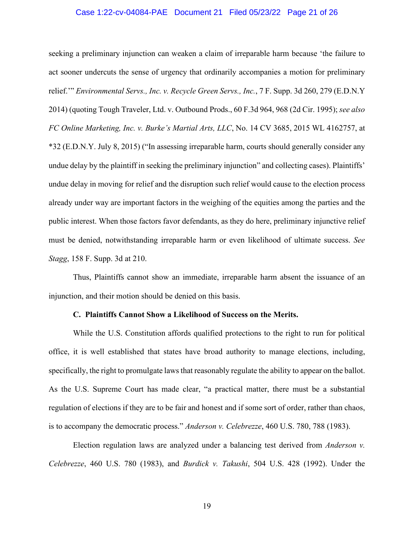#### Case 1:22-cv-04084-PAE Document 21 Filed 05/23/22 Page 21 of 26

seeking a preliminary injunction can weaken a claim of irreparable harm because 'the failure to act sooner undercuts the sense of urgency that ordinarily accompanies a motion for preliminary relief.'" *Environmental Servs., Inc. v. Recycle Green Servs., Inc.*, 7 F. Supp. 3d 260, 279 (E.D.N.Y 2014) (quoting Tough Traveler, Ltd. v. Outbound Prods., 60 F.3d 964, 968 (2d Cir. 1995); *see also FC Online Marketing, Inc. v. Burke's Martial Arts, LLC*, No. 14 CV 3685, 2015 WL 4162757, at \*32 (E.D.N.Y. July 8, 2015) ("In assessing irreparable harm, courts should generally consider any undue delay by the plaintiff in seeking the preliminary injunction" and collecting cases). Plaintiffs' undue delay in moving for relief and the disruption such relief would cause to the election process already under way are important factors in the weighing of the equities among the parties and the public interest. When those factors favor defendants, as they do here, preliminary injunctive relief must be denied, notwithstanding irreparable harm or even likelihood of ultimate success. *See Stagg*, 158 F. Supp. 3d at 210.

Thus, Plaintiffs cannot show an immediate, irreparable harm absent the issuance of an injunction, and their motion should be denied on this basis.

#### **C. Plaintiffs Cannot Show a Likelihood of Success on the Merits.**

While the U.S. Constitution affords qualified protections to the right to run for political office, it is well established that states have broad authority to manage elections, including, specifically, the right to promulgate laws that reasonably regulate the ability to appear on the ballot. As the U.S. Supreme Court has made clear, "a practical matter, there must be a substantial regulation of elections if they are to be fair and honest and if some sort of order, rather than chaos, is to accompany the democratic process." *Anderson v. Celebrezze*, 460 U.S. 780, 788 (1983).

Election regulation laws are analyzed under a balancing test derived from *Anderson v. Celebrezze*, 460 U.S. 780 (1983), and *Burdick v. Takushi*, 504 U.S. 428 (1992). Under the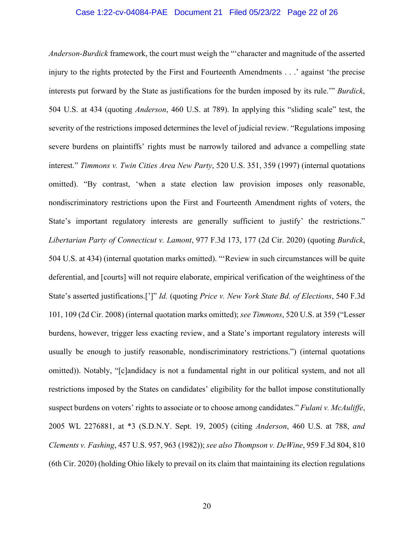### Case 1:22-cv-04084-PAE Document 21 Filed 05/23/22 Page 22 of 26

*Anderson-Burdick* framework, the court must weigh the "'character and magnitude of the asserted injury to the rights protected by the First and Fourteenth Amendments . . .' against 'the precise interests put forward by the State as justifications for the burden imposed by its rule.'" *Burdick*, 504 U.S. at 434 (quoting *Anderson*, 460 U.S. at 789). In applying this "sliding scale" test, the severity of the restrictions imposed determines the level of judicial review. "Regulations imposing severe burdens on plaintiffs' rights must be narrowly tailored and advance a compelling state interest." *Timmons v. Twin Cities Area New Party*, 520 U.S. 351, 359 (1997) (internal quotations omitted). "By contrast, 'when a state election law provision imposes only reasonable, nondiscriminatory restrictions upon the First and Fourteenth Amendment rights of voters, the State's important regulatory interests are generally sufficient to justify' the restrictions." *Libertarian Party of Connecticut v. Lamont*, 977 F.3d 173, 177 (2d Cir. 2020) (quoting *Burdick*, 504 U.S. at 434) (internal quotation marks omitted). "'Review in such circumstances will be quite deferential, and [courts] will not require elaborate, empirical verification of the weightiness of the State's asserted justifications.[']" *Id.* (quoting *Price v. New York State Bd. of Elections*, 540 F.3d 101, 109 (2d Cir. 2008) (internal quotation marks omitted); *see Timmons*, 520 U.S. at 359 ("Lesser burdens, however, trigger less exacting review, and a State's important regulatory interests will usually be enough to justify reasonable, nondiscriminatory restrictions.") (internal quotations omitted)). Notably, "[c]andidacy is not a fundamental right in our political system, and not all restrictions imposed by the States on candidates' eligibility for the ballot impose constitutionally suspect burdens on voters' rights to associate or to choose among candidates." *Fulani v. McAuliffe*, 2005 WL 2276881, at \*3 (S.D.N.Y. Sept. 19, 2005) (citing *Anderson*, 460 U.S. at 788, *and Clements v. Fashing*, 457 U.S. 957, 963 (1982)); *see also Thompson v. DeWine*, 959 F.3d 804, 810 (6th Cir. 2020) (holding Ohio likely to prevail on its claim that maintaining its election regulations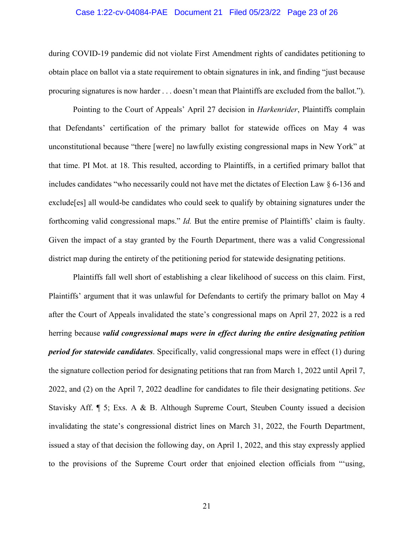#### Case 1:22-cv-04084-PAE Document 21 Filed 05/23/22 Page 23 of 26

during COVID-19 pandemic did not violate First Amendment rights of candidates petitioning to obtain place on ballot via a state requirement to obtain signatures in ink, and finding "just because procuring signatures is now harder . . . doesn't mean that Plaintiffs are excluded from the ballot.").

Pointing to the Court of Appeals' April 27 decision in *Harkenrider*, Plaintiffs complain that Defendants' certification of the primary ballot for statewide offices on May 4 was unconstitutional because "there [were] no lawfully existing congressional maps in New York" at that time. PI Mot. at 18. This resulted, according to Plaintiffs, in a certified primary ballot that includes candidates "who necessarily could not have met the dictates of Election Law § 6-136 and exclude[es] all would-be candidates who could seek to qualify by obtaining signatures under the forthcoming valid congressional maps." *Id.* But the entire premise of Plaintiffs' claim is faulty. Given the impact of a stay granted by the Fourth Department, there was a valid Congressional district map during the entirety of the petitioning period for statewide designating petitions.

Plaintiffs fall well short of establishing a clear likelihood of success on this claim. First, Plaintiffs' argument that it was unlawful for Defendants to certify the primary ballot on May 4 after the Court of Appeals invalidated the state's congressional maps on April 27, 2022 is a red herring because *valid congressional maps were in effect during the entire designating petition period for statewide candidates*. Specifically, valid congressional maps were in effect (1) during the signature collection period for designating petitions that ran from March 1, 2022 until April 7, 2022, and (2) on the April 7, 2022 deadline for candidates to file their designating petitions. *See* Stavisky Aff. ¶ 5; Exs. A & B. Although Supreme Court, Steuben County issued a decision invalidating the state's congressional district lines on March 31, 2022, the Fourth Department, issued a stay of that decision the following day, on April 1, 2022, and this stay expressly applied to the provisions of the Supreme Court order that enjoined election officials from "'using,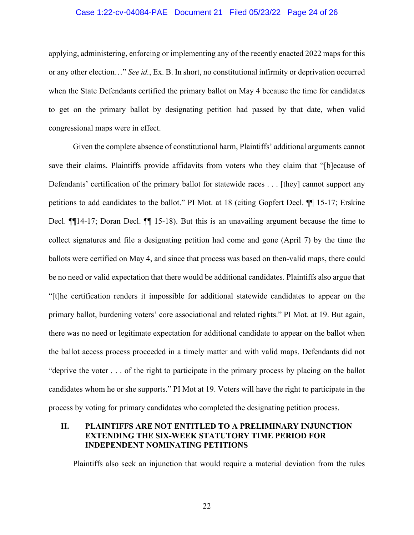#### Case 1:22-cv-04084-PAE Document 21 Filed 05/23/22 Page 24 of 26

applying, administering, enforcing or implementing any of the recently enacted 2022 maps for this or any other election…" *See id.*, Ex. B. In short, no constitutional infirmity or deprivation occurred when the State Defendants certified the primary ballot on May 4 because the time for candidates to get on the primary ballot by designating petition had passed by that date, when valid congressional maps were in effect.

Given the complete absence of constitutional harm, Plaintiffs' additional arguments cannot save their claims. Plaintiffs provide affidavits from voters who they claim that "[b]ecause of Defendants' certification of the primary ballot for statewide races . . . [they] cannot support any petitions to add candidates to the ballot." PI Mot. at 18 (citing Gopfert Decl. ¶¶ 15-17; Erskine Decl. ¶¶14-17; Doran Decl. ¶¶ 15-18). But this is an unavailing argument because the time to collect signatures and file a designating petition had come and gone (April 7) by the time the ballots were certified on May 4, and since that process was based on then-valid maps, there could be no need or valid expectation that there would be additional candidates. Plaintiffs also argue that "[t]he certification renders it impossible for additional statewide candidates to appear on the primary ballot, burdening voters' core associational and related rights." PI Mot. at 19. But again, there was no need or legitimate expectation for additional candidate to appear on the ballot when the ballot access process proceeded in a timely matter and with valid maps. Defendants did not "deprive the voter . . . of the right to participate in the primary process by placing on the ballot candidates whom he or she supports." PI Mot at 19. Voters will have the right to participate in the process by voting for primary candidates who completed the designating petition process.

## **II. PLAINTIFFS ARE NOT ENTITLED TO A PRELIMINARY INJUNCTION EXTENDING THE SIX-WEEK STATUTORY TIME PERIOD FOR INDEPENDENT NOMINATING PETITIONS**

Plaintiffs also seek an injunction that would require a material deviation from the rules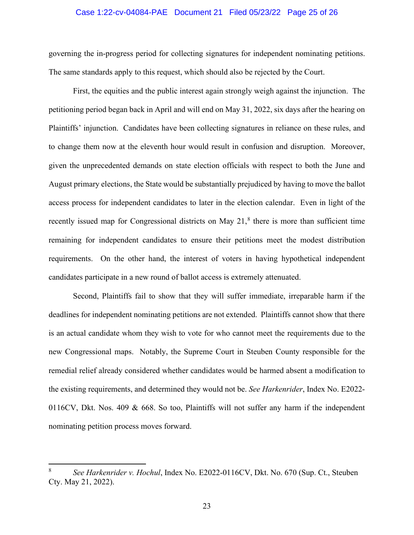#### Case 1:22-cv-04084-PAE Document 21 Filed 05/23/22 Page 25 of 26

governing the in-progress period for collecting signatures for independent nominating petitions. The same standards apply to this request, which should also be rejected by the Court.

First, the equities and the public interest again strongly weigh against the injunction. The petitioning period began back in April and will end on May 31, 2022, six days after the hearing on Plaintiffs' injunction. Candidates have been collecting signatures in reliance on these rules, and to change them now at the eleventh hour would result in confusion and disruption. Moreover, given the unprecedented demands on state election officials with respect to both the June and August primary elections, the State would be substantially prejudiced by having to move the ballot access process for independent candidates to later in the election calendar. Even in light of the recently issued map for Congressional districts on May 21,<sup>[8](#page-24-0)</sup> there is more than sufficient time remaining for independent candidates to ensure their petitions meet the modest distribution requirements. On the other hand, the interest of voters in having hypothetical independent candidates participate in a new round of ballot access is extremely attenuated.

Second, Plaintiffs fail to show that they will suffer immediate, irreparable harm if the deadlines for independent nominating petitions are not extended. Plaintiffs cannot show that there is an actual candidate whom they wish to vote for who cannot meet the requirements due to the new Congressional maps. Notably, the Supreme Court in Steuben County responsible for the remedial relief already considered whether candidates would be harmed absent a modification to the existing requirements, and determined they would not be. *See Harkenrider*, Index No. E2022- 0116CV, Dkt. Nos. 409 & 668. So too, Plaintiffs will not suffer any harm if the independent nominating petition process moves forward.

<span id="page-24-0"></span><sup>8</sup> *See Harkenrider v. Hochul*, Index No. E2022-0116CV, Dkt. No. 670 (Sup. Ct., Steuben Cty. May 21, 2022).